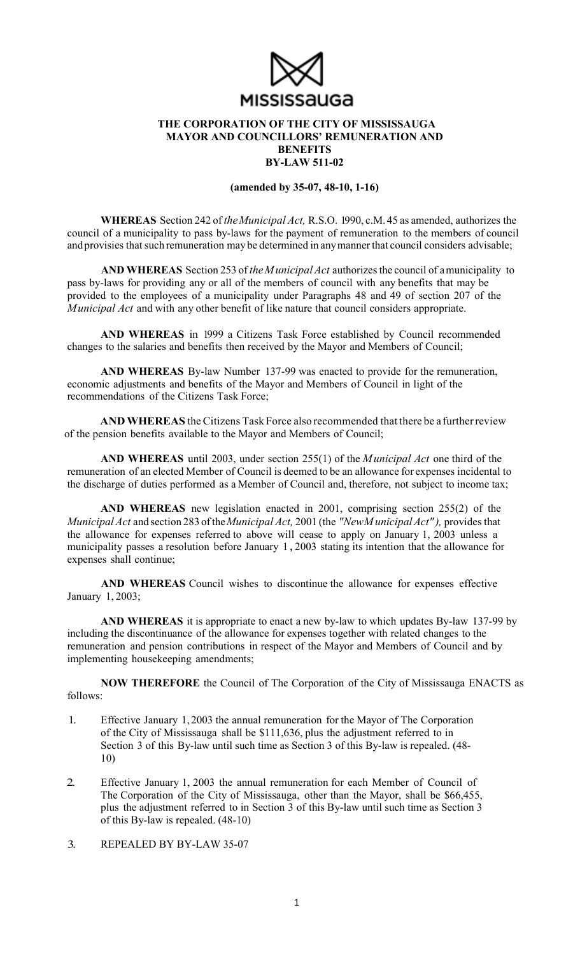

## **THE CORPORATION OF THE CITY OF MISSISSAUGA MAYOR AND COUNCILLORS' REMUNERATION AND BENEFITS BY-LAW 511-02**

**(amended by 35-07, 48-10, 1-16)** 

**WHEREAS** Section 242 of *the Municipal Act,* R.S.O. 1990, c.M. 45 as amended, authorizes the council of a municipality to pass by-laws for the payment of remuneration to the members of council and provisies that such remuneration may be determined in any manner that council considers advisable;

**AND WHEREAS** Section 253 of *the M unicipal Act* authorizes the council of amunicipality to pass by-laws for providing any or all of the members of council with any benefits that may be provided to the employees of a municipality under Paragraphs 48 and 49 of section 207 of the *M unicipal Act* and with any other benefit of like nature that council considers appropriate.

**AND WHEREAS** in 1999 a Citizens Task Force established by Council recommended changes to the salaries and benefits then received by the Mayor and Members of Council;

**AND WHEREAS** By-law Number 137-99 was enacted to provide for the remuneration, economic adjustments and benefits of the Mayor and Members of Council in light of the recommendations of the Citizens Task Force;

**AND WHEREAS** the Citizens Task Force also recommended that there be a further review of the pension benefits available to the Mayor and Members of Council;

**AND WHEREAS** until 2003, under section 255(1) of the *M unicipal Act* one third of the remuneration of an elected Member of Council is deemed to be an allowance for expenses incidental to the discharge of duties performed as a Member of Council and, therefore, not subject to income tax;

**AND WHEREAS** new legislation enacted in 2001, comprising section 255(2) of the *Municipal Act* and section 283 of the *Municipal Act,* 2001 (the *"NewM unicipal Act" ),* provides that the allowance for expenses referred to above will cease to apply on January 1, 2003 unless a municipality passes a resolution before January 1 **,** 2003 stating its intention that the allowance for expenses shall continue;

**AND WHEREAS** Council wishes to discontinue the allowance for expenses effective January 1, 2003;

**AND WHEREAS** it is appropriate to enact a new by-law to which updates By-law 137-99 by including the discontinuance of the allowance for expenses together with related changes to the remuneration and pension contributions in respect of the Mayor and Members of Council and by implementing housekeeping amendments;

**NOW THEREFORE** the Council of The Corporation of the City of Mississauga ENACTS as follows:

- 1. Effective January 1, 2003 the annual remuneration for the Mayor of The Corporation of the City of Mississauga shall be \$111,636, plus the adjustment referred to in Section 3 of this By-law until such time as Section 3 of this By-law is repealed. (48- 10)
- 2. Effective January 1, 2003 the annual remuneration for each Member of Council of The Corporation of the City of Mississauga, other than the Mayor, shall be \$66,455, plus the adjustment referred to in Section 3 of this By-law until such time as Section 3 of this By-law is repealed. (48-10)

3. REPEALED BY BY-LAW 35-07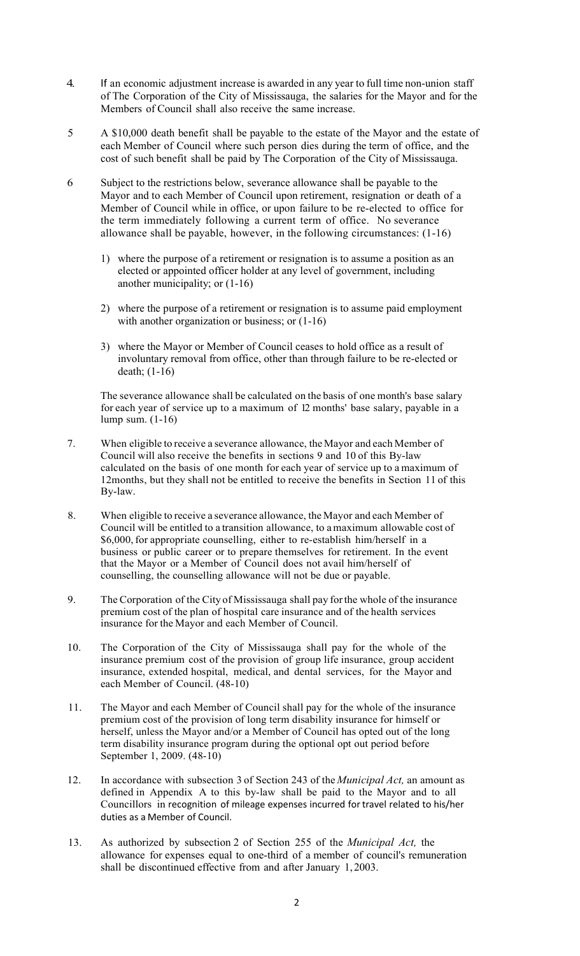- 4. If an economic adjustment increase is awarded in any year to full time non-union staff of The Corporation of the City of Mississauga, the salaries for the Mayor and for the Members of Council shall also receive the same increase.
- 5 A \$10,000 death benefit shall be payable to the estate of the Mayor and the estate of each Member of Council where such person dies during the term of office, and the cost of such benefit shall be paid by The Corporation of the City of Mississauga.
- 6 Subject to the restrictions below, severance allowance shall be payable to the Mayor and to each Member of Council upon retirement, resignation or death of a Member of Council while in office, or upon failure to be re-elected to office for the term immediately following a current term of office. No severance allowance shall be payable, however, in the following circumstances: (1-16)
	- 1) where the purpose of a retirement or resignation is to assume a position as an elected or appointed officer holder at any level of government, including another municipality; or (1-16)
	- 2) where the purpose of a retirement or resignation is to assume paid employment with another organization or business; or  $(1-16)$
	- 3) where the Mayor or Member of Council ceases to hold office as a result of involuntary removal from office, other than through failure to be re-elected or death; (1-16)

The severance allowance shall be calculated on the basis of one month's base salary for each year of service up to a maximum of 12 months' base salary, payable in a lump sum. (1-16)

- 7. When eligible to receive a severance allowance, the Mayor and each Member of Council will also receive the benefits in sections 9 and 10 of this By-law calculated on the basis of one month for each year of service up to a maximum of 12months, but they shall not be entitled to receive the benefits in Section 11 of this By-law.
- 8. When eligible to receive a severance allowance, the Mayor and each Member of Council will be entitled to a transition allowance, to a maximum allowable cost of \$6,000, for appropriate counselling, either to re-establish him/herself in a business or public career or to prepare themselves for retirement. In the event that the Mayor or a Member of Council does not avail him/herself of counselling, the counselling allowance will not be due or payable.
- 9. The Corporation of the City of Mississauga shall pay for the whole of the insurance premium cost of the plan of hospital care insurance and of the health services insurance for the Mayor and each Member of Council.
- 10. The Corporation of the City of Mississauga shall pay for the whole of the insurance premium cost of the provision of group life insurance, group accident insurance, extended hospital, medical, and dental services, for the Mayor and each Member of Council. (48-10)
- 11. The Mayor and each Member of Council shall pay for the whole of the insurance premium cost of the provision of long term disability insurance for himself or herself, unless the Mayor and/or a Member of Council has opted out of the long term disability insurance program during the optional opt out period before September 1, 2009. (48-10)
- 12. In accordance with subsection 3 of Section 243 of the *Municipal Act,* an amount as defined in Appendix A to this by-law shall be paid to the Mayor and to all Councillors in recognition of mileage expenses incurred for travel related to his/her duties as a Member of Council.
- 13. As authorized by subsection 2 of Section 255 of the *Municipal Act,* the allowance for expenses equal to one-third of a member of council's remuneration shall be discontinued effective from and after January 1, 2003.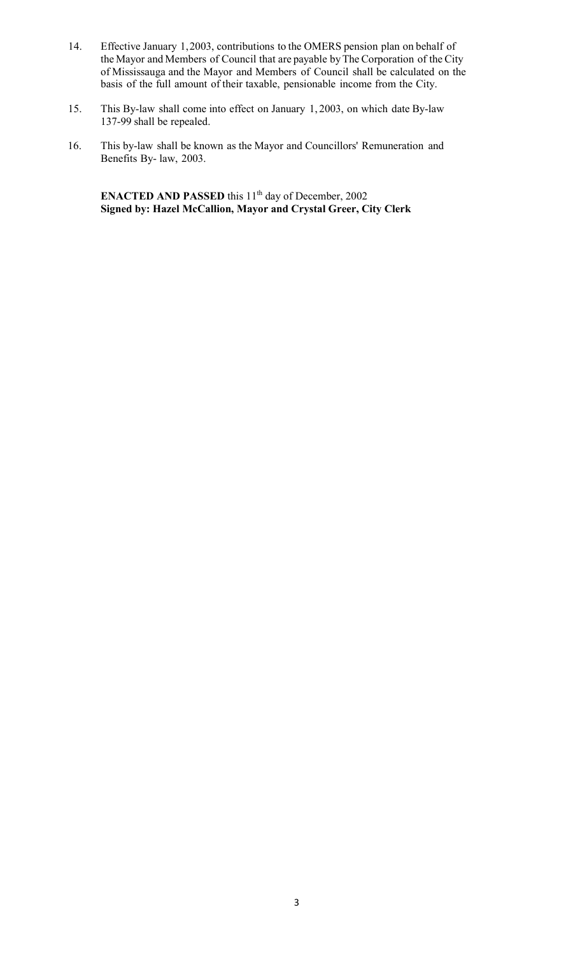- 14. Effective January 1, 2003, contributions to the OMERS pension plan on behalf of the Mayor and Members of Council that are payable by The Corporation of the City of Mississauga and the Mayor and Members of Council shall be calculated on the basis of the full amount of their taxable, pensionable income from the City.
- 15. This By-law shall come into effect on January 1, 2003, on which date By-law 137-99 shall be repealed.
- 16. This by-law shall be known as the Mayor and Councillors' Remuneration and Benefits By- law, 2003.

**ENACTED AND PASSED** this 11<sup>th</sup> day of December, 2002 **Signed by: Hazel McCallion, Mayor and Crystal Greer, City Clerk**